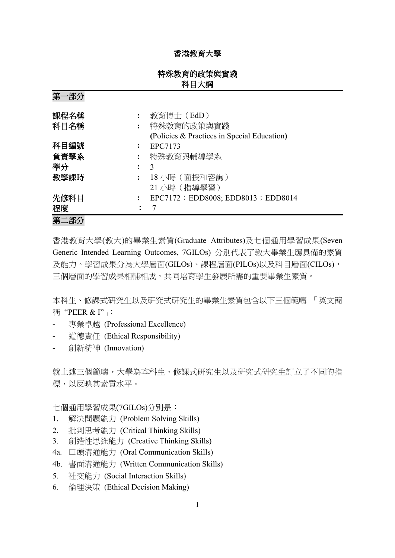## 香港教育大學

# 特殊教育的政策與實踐 科目大綱

**(**Policies & Practices in Special Education**)**

第一部分 課程名稱 **:** 教育博士(EdD) 科目名稱 **:** 特殊教育的政策與實踐 科目編號 **:** EPC7173 負責學系 **:** 特殊教育與輔導學系 學分 **:** 3

教學課時 **:** 18 小時(面授和咨詢) 21 小時(指導學習) 先修科目 : EPC7172; EDD8008; EDD8013; EDD8014 程度: 7 第二部分 香港教育大學(教大)的畢業生素質(Graduate Attributes)及七個通用學習成果(Seven

Generic Intended Learning Outcomes, 7GILOs) 分別代表了教大畢業生應具備的素質 及能力。學習成果分為大學層面(GILOs)、課程層面(PILOs)以及科目層面(CILOs), 三個層面的學習成果相輔相成,共同培育學生發展所需的重要畢業生素質。

本科生、修課式研究生以及研究式研究生的畢業生素質包含以下三個範疇 「英文簡 稱 "PEER & I"」

- 專業卓越 (Professional Excellence)
- 道德責任 (Ethical Responsibility)
- 創新精神 (Innovation)

就上述三個範疇,大學為本科生、修課式研究生以及研究式研究生訂立了不同的指 標,以反映其素質水平。

七個通用學習成果(7GILOs)分別是:

- 1. 解決問題能力 (Problem Solving Skills)
- 2. 批判思考能力 (Critical Thinking Skills)
- 3. 創造性思維能力 (Creative Thinking Skills)
- 4a. 口頭溝通能力 (Oral Communication Skills)
- 4b. 書面溝通能力 (Written Communication Skills)
- 5. 社交能力 (Social Interaction Skills)
- 6. 倫理決策 (Ethical Decision Making)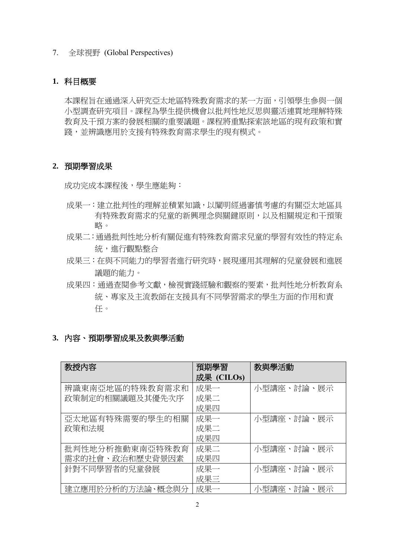7. 全球視野 (Global Perspectives)

## **1.** 科目概要

本課程旨在通過深入研究亞太地區特殊教育需求的某一方面,引領學生參與一個 小型調查研究項目。課程為學生提供機會以批判性地反思與靈活連貫地理解特殊 教育及干預方案的發展相關的重要議題。課程將重點探索該地區的現有政策和實 踐,並辨識應用於支援有特殊教育需求學生的現有模式。

#### **2.** 預期學習成果

成功完成本課程後,學生應能夠:

- 成果一:建立批判性的理解並積累知識,以闡明經過審慎考慮的有關亞太地區具 有特殊教育需求的兒童的新興理念與關鍵原則,以及相關規定和干預策 略。
- 成果二:通過批判性地分析有關促進有特殊教育需求兒童的學習有效性的特定系 統,進行觀點整合
- 成果三:在與不同能力的學習者進行研究時,展現運用其理解的兒童發展和進展 議題的能力。
- 成果四:通過查閱參考文獻,檢視實踐經驗和觀察的要素,批判性地分析教育系 統、專家及主流教師在支援具有不同學習需求的學生方面的作用和責 任。

## **3.** 內容、預期學習成果及教與學活動

| 教授内容             | 預期學習       | 教與學活動      |
|------------------|------------|------------|
|                  | 成果 (CILOs) |            |
| 辨識東南亞地區的特殊教育需求和  | 成果一        | 小型講座、討論、展示 |
| 政策制定的相關議題及其優先次序  | 成果二        |            |
|                  | 成果四        |            |
| 亞太地區有特殊需要的學生的相關  | 成果一        | 小型講座、討論、展示 |
| 政策和法規            | 成果二        |            |
|                  | 成果四        |            |
| 批判性地分析推動東南亞特殊教育  | 成果二        | 小型講座、討論、展示 |
| 需求的社會、政治和歷史背景因素  | 成果四        |            |
| 針對不同學習者的兒童發展     | 成果一        | 小型講座、討論、展示 |
|                  | 成果三        |            |
| 建立應用於分析的方法論、概念與分 | 成果一        | 小型講座、討論、展示 |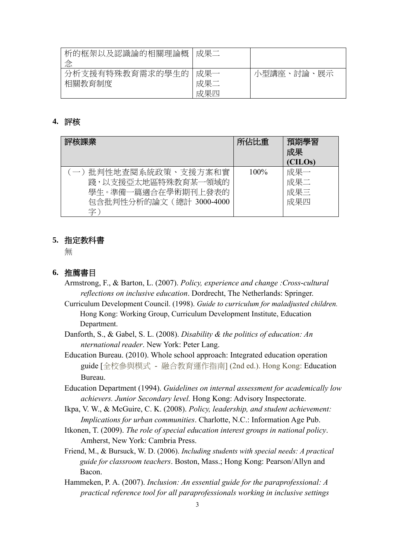| 析的框架以及認識論的相關理論概            | 成果二               |                |
|----------------------------|-------------------|----------------|
| 分析支援有特殊教育需求的學生的 <br>相關教育制度 | 成果一<br>成果二<br>成果四 | 小型講座、討論、<br>展示 |

## **4.** 評核

| 評核課業                                                                                                | 所佔比重    | 預期學習<br>成果<br>(CILOs)    |
|-----------------------------------------------------------------------------------------------------|---------|--------------------------|
| (一) 批判性地查閱系統政策、支援方案和實<br>踐,以支援亞太地區特殊教育某一領域的<br>學生。準備一篇適合在學術期刊上發表的<br>包含批判性分析的論文 ( 總計 3000-4000<br>字 | $100\%$ | 成果一<br>成果二<br>成果三<br>成果四 |

#### **5.** 指定教科書

無

## **6.** 推薦書目

- Armstrong, F., & Barton, L. (2007). *Policy, experience and change :Cross-cultural reflections on inclusive education*. Dordrecht, The Netherlands: Springer.
- Curriculum Development Council. (1998). *Guide to curriculum for maladjusted children.* Hong Kong: Working Group, Curriculum Development Institute, Education Department.
- Danforth, S., & Gabel, S. L. (2008). *Disability & the politics of education: An nternational reader*. New York: Peter Lang.
- Education Bureau. (2010). Whole school approach: Integrated education operation guide [全校參與模式 - 融合教育運作指南] (2nd ed.). Hong Kong: Education Bureau.
- Education Department (1994). *Guidelines on internal assessment for academically low achievers. Junior Secondary level.* Hong Kong: Advisory Inspectorate.
- Ikpa, V. W., & McGuire, C. K. (2008). *Policy, leadership, and student achievement: Implications for urban communities*. Charlotte, N.C.: Information Age Pub.
- Itkonen, T. (2009). *The role of special education interest groups in national policy*. Amherst, New York: Cambria Press.
- Friend, M., & Bursuck, W. D. (2006). *Including students with special needs: A practical guide for classroom teachers*. Boston, Mass.; Hong Kong: Pearson/Allyn and Bacon.
- Hammeken, P. A. (2007). *Inclusion: An essential guide for the paraprofessional: A practical reference tool for all paraprofessionals working in inclusive settings*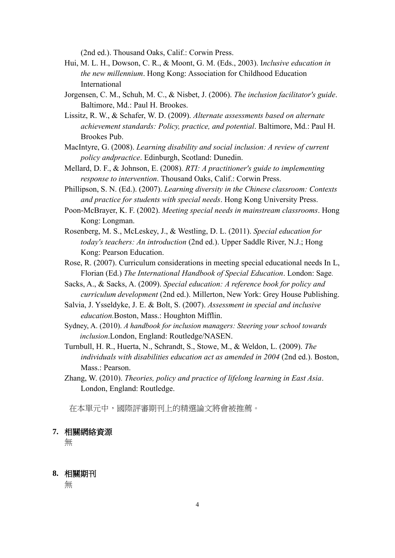(2nd ed.). Thousand Oaks, Calif.: Corwin Press.

- Hui, M. L. H., Dowson, C. R., & Moont, G. M. (Eds., 2003). I*nclusive education in the new millennium*. Hong Kong: Association for Childhood Education International
- Jorgensen, C. M., Schuh, M. C., & Nisbet, J. (2006). *The inclusion facilitator's guide*. Baltimore, Md.: Paul H. Brookes.
- Lissitz, R. W., & Schafer, W. D. (2009). *Alternate assessments based on alternate achievement standards: Policy, practice, and potential*. Baltimore, Md.: Paul H. Brookes Pub.
- MacIntyre, G. (2008). *Learning disability and social inclusion: A review of current policy andpractice*. Edinburgh, Scotland: Dunedin.
- Mellard, D. F., & Johnson, E. (2008). *RTI: A practitioner's guide to implementing response to intervention*. Thousand Oaks, Calif.: Corwin Press.
- Phillipson, S. N. (Ed.). (2007). *Learning diversity in the Chinese classroom: Contexts and practice for students with special needs*. Hong Kong University Press.
- Poon-McBrayer, K. F. (2002). *Meeting special needs in mainstream classrooms*. Hong Kong: Longman.
- Rosenberg, M. S., McLeskey, J., & Westling, D. L. (2011). *Special education for today's teachers: An introduction* (2nd ed.). Upper Saddle River, N.J.; Hong Kong: Pearson Education.
- Rose, R. (2007). Curriculum considerations in meeting special educational needs In L, Florian (Ed.) *The International Handbook of Special Education*. London: Sage.
- Sacks, A., & Sacks, A. (2009). *Special education: A reference book for policy and curriculum development* (2nd ed.). Millerton, New York: Grey House Publishing.
- Salvia, J. Ysseldyke, J. E. & Bolt, S. (2007). *Assessment in special and inclusive education.*Boston, Mass.: Houghton Mifflin.
- Sydney, A. (2010). *A handbook for inclusion managers: Steering your school towards inclusion*.London, England: Routledge/NASEN.
- Turnbull, H. R., Huerta, N., Schrandt, S., Stowe, M., & Weldon, L. (2009). *The individuals with disabilities education act as amended in 2004* (2nd ed.). Boston, Mass.: Pearson.
- Zhang, W. (2010). *Theories, policy and practice of lifelong learning in East Asia*. London, England: Routledge.

在本單元中,國際評審期刊上的精選論文將會被推薦。

#### **7.** 相關網絡資源

無

### **8.** 相關期刊

無